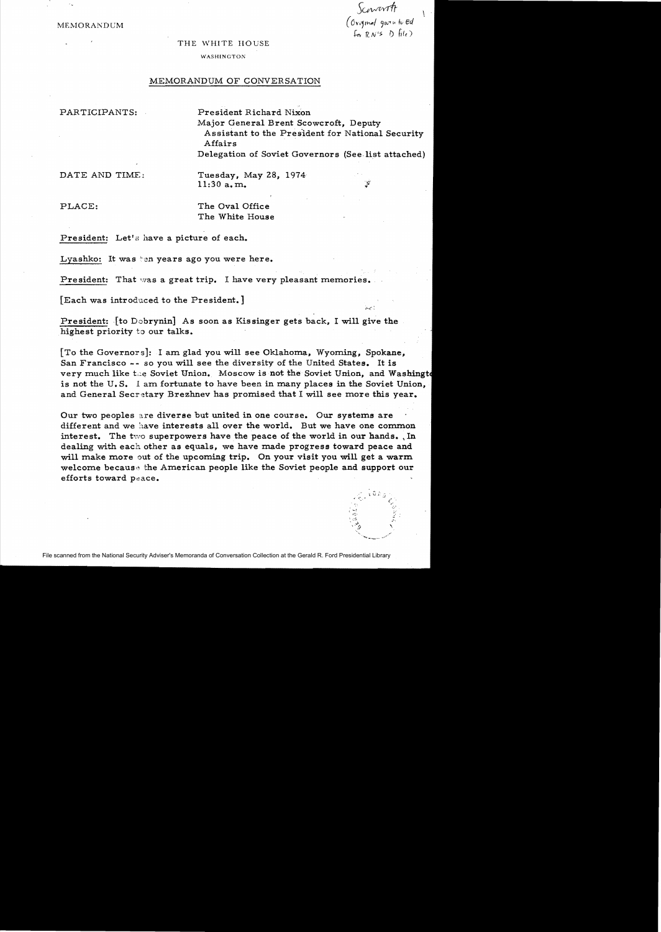*SClJVAtvrir*   $MEMORANDUM$  (Original given to Eq. 4 *RN'>* 7) *Filt)* 

#### THE WHITE HOUSE

#### WASHINGTON

### MEMORANDUM OF CONVERSATION

PARTICIPANTS: President Richard Nixon Major General Brent Scowcroft, Deputy Assistant to the Presldent for National Security Affairs Delegation of Soviet Governors (See list attached)

DATE AND TIME:

11:30 a. m. Tuesday, May 28, 1974

PLACE: The Oval Office The White House

President: Let's have a picture of each.

Lyashko: It was ten years ago you were here.

President: That was a great trip. I have very pleasant memories.

[Each was introduced to the President.]

President: [to Dohrynin] As soon as Kissinger gets back, I will give the highest priority to our talks.

[To the Governors]: I am. glad you will see Oklahoma, Wyoming, Spokane, San Francisco -- so you will see the diversity of the United States. It is very much like the Soviet Union. Moscow is not the Soviet Union, and Washingto is not the U. S. I am fortunate to have been in many places in the Soviet Union, and General Secretary Brezhnev has promised that I will see more this year.

Our two peoples are diverse but united in one course. Our systems are different and we have interests all over the world. But we have one common interest. The two superpowers have the peace of the world in our hands... In dealing with each other as equals, we have made progress toward peace and will make more out of the upcoming trip. On your visit you will get a warm welcome because the American people like the Soviet people and support our efforts toward peace.



File scanned from the National Security Adviser's Memoranda of Conversation Collection at the Gerald R. Ford Presidential Library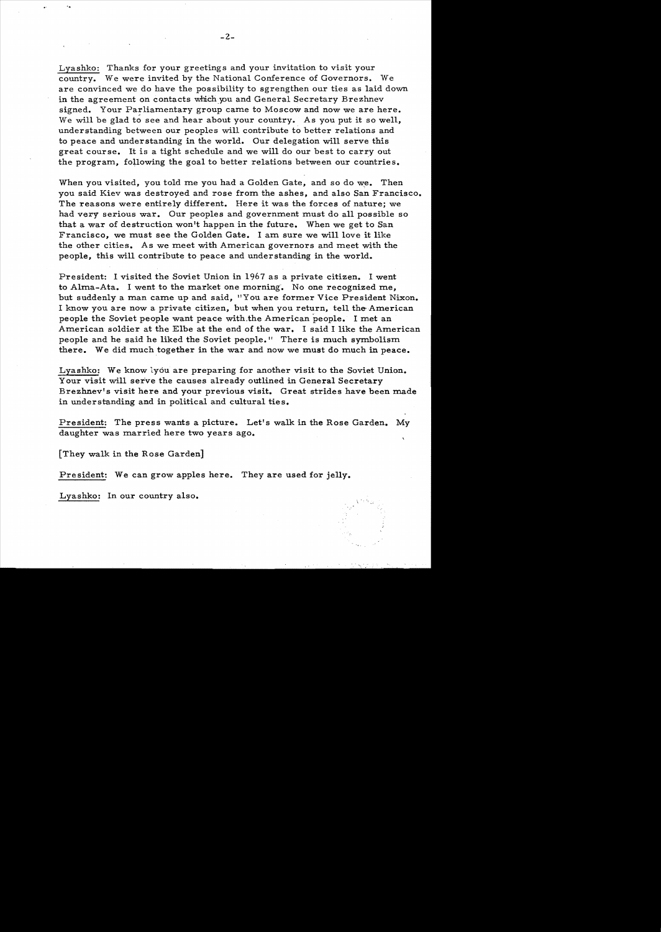Lyashko: Thanks for your greetings and your invitation to visit your country. We were invited by the National Conference of Governors. We are convinced we do have the possibility to sgrengthen our ties as laid down in the agreement on contacts which you and General Secretary Brezhnev signed. Your Parliamentary group came to Moscow and now we are here. We will be glad to see and hear about your country. As you put it so well, understanding between our peoples will contribute to better relations and to peace and understanding in the world. Our delegation will serve this great course. It is a tight schedule and we will do our best to carry out the program, following the goal to better relations between our countries.

When you visited, you told me you had a Golden Gate, and so do we. Then you said Kiev was destroyed and rose from the ashes, and also San Francisco. The reasons were entirely different. Here it was the forces of nature; we had very serious war. Our peoples and government must do all possible so that a war of destruction won't happen in the future. When we get to San Francisco, we must see the Golden Gate. I am sure we will love it like the other cities. As we meet with American governors and meet with the people, this will contribute to peace and understanding in the world.

President: I visited the Soviet Union in 1967 as a private citizen. I went to Alma-Ata. I went to the market one morning'. No one recognized me, but suddenly a man came up and said, "You are former Vice President Nixon. I know you are now a private citizen, but when you return, tell the- American people the Soviet people want peace with,the American people. I met an American soldier at the Elbe at the end of the war. I said I like the American people and he said he liked the Soviet people." There is much symbolism there. We did much together in the war and now we must do much in peace.

Lyashko: We know lyou are preparing for another visit to the Soviet Union. Your visit will serve the causes already outlined in General Secretary Brezhnev's visit here and your previous visit. Great strides have been made in understanding and in political and cultural ties.

President: The press wants a picture. Let's walk in the Rose Garden. My daughter was married here two years ago.

[They walk in the Rose Garden]

'.

President: We can grow apples here. They are used for jelly.

Lyashko: In our country also.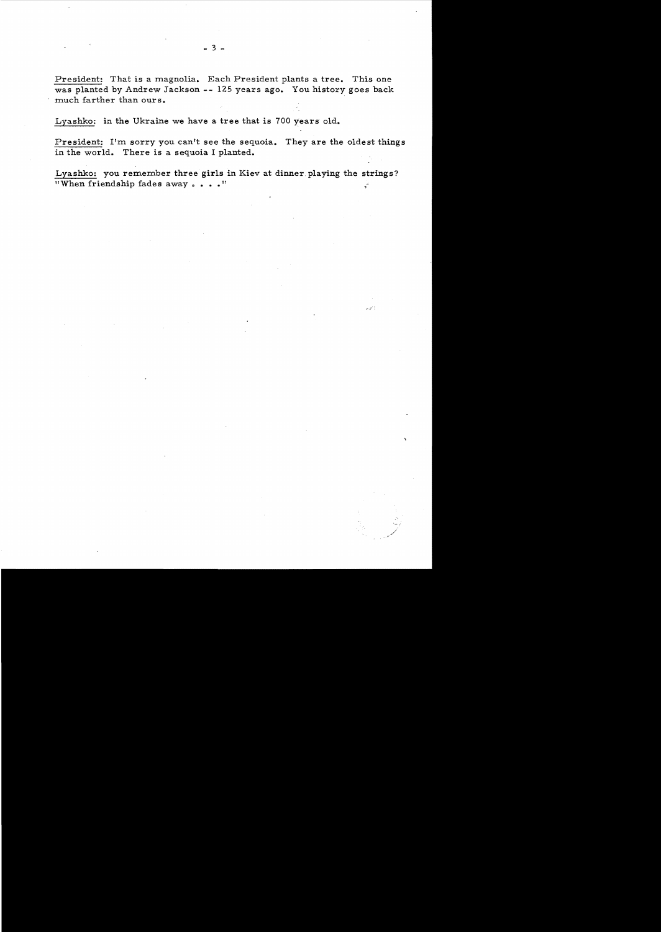President: That is a magnolia. Each President plants a tree. This one was planted by Andrew Jackson **--** 125 years ago. You history goes back much farther than ours.

Lyashko: in the Ukraine we have a tree that is 700 years old.

President: I'm sorry you can't see the sequoia. They are the oldest things in the world. There is a sequoia I planted.

Lyashko: you remember three girls in Kiev at dinner playing the strings?  $"When friendship fades away . . . "$ 

 $\mathcal{O}(\sqrt{c^2})$  )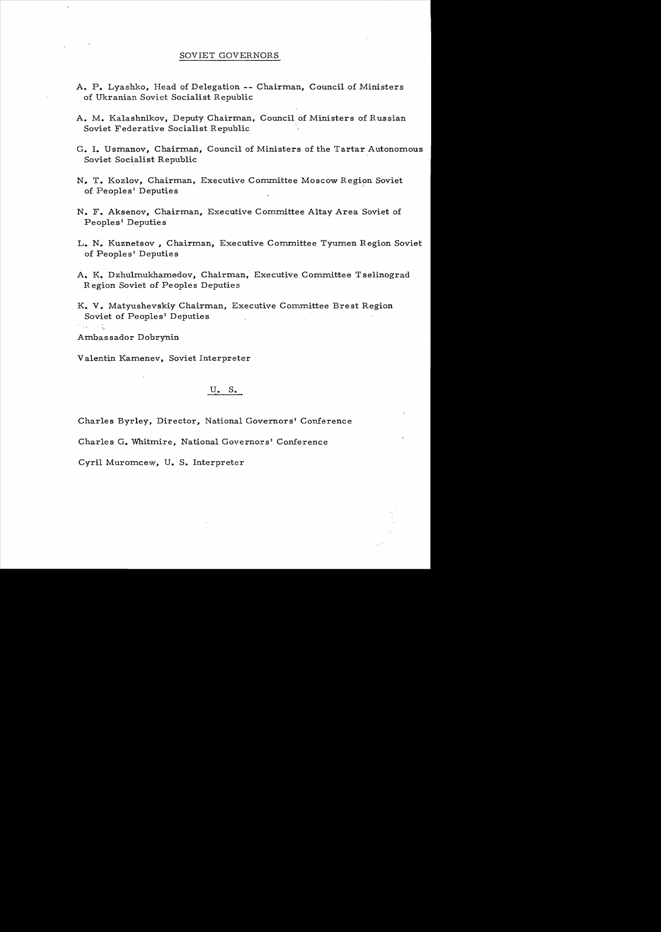## SOVIET GOVERNORS

- A. P. Lyashko, Head of Delegation -- Chairman, Council of Ministers of Ukranian Soviet Socialist Republic
- A. M. Kalashnikov, Deputy Chairman, Council of Ministers of Russian Soviet Federative Socialist Republic
- G. I. Usmanov, Chairman, Council of Ministers of the Tartar Autonomous Soviet Socialist Republic
- N. T. Kozlov, Chairman, Executive Committee Moscow Region Soviet of Peoples' Deputies
- N. F. Aksenov, Chairman, Executive Committee Altay Area Soviet of Peoples' Deputies
- L. N. Kuznetsov, Chairman, Executive Committee Tyumen Region Soviet of Peoples' Deputies
- A. K. Dzhulmukhamedov, Chairman, Executive Committee Tselinograd Region Soviet of Peoples Deputies
- K. V. Matyushevskiy Chairman, Executive Committee Brest Region Soviet of Peoples' Deputies

Ambassador Dobrynin

化四元烷基

Valentin Kamenev, Soviet Interpreter

# U. S.

Charles Byrley, Director, National Governors' Conference

Charles G. Whitmire, National Governors' Conference

Cyril Muromcew, U. S. Interpreter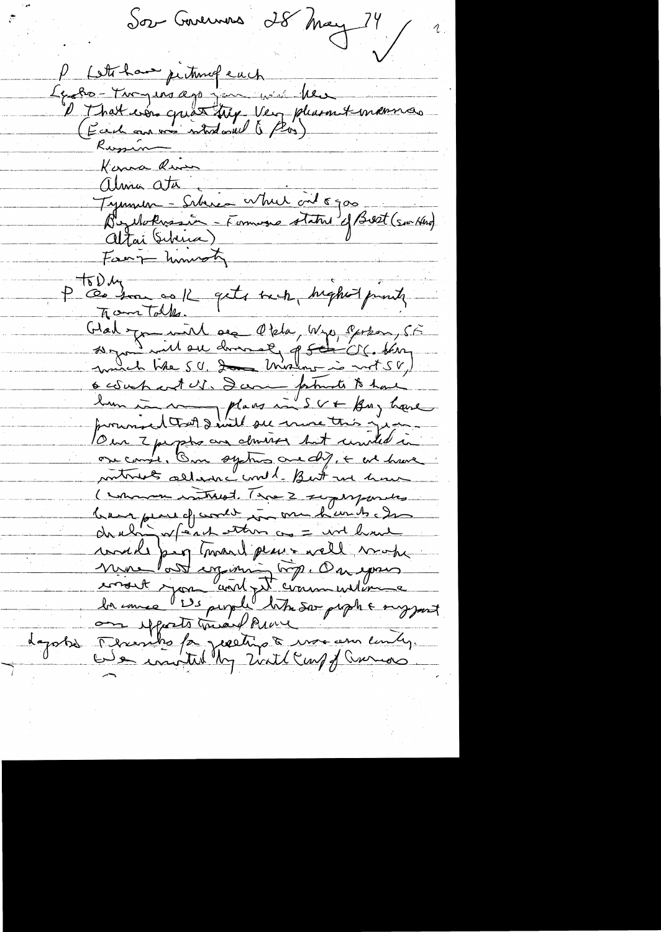Sor Gavernous 28 May 24 / 2 Lett have petundeuch Le Ro - Tucyens appennent plus her Russin  $K$ croca River alma ata Tymules - Schien While cit 8900<br>Burlokussin - Formoge status of Beet (southed)<br>Altai Gibrica) P ces son os K quite mon, higher prints Glad you will see Okla, Wye, Perkon, 55 ocoupart US. Danne faturats to have Our 2 perphs are downed but could in one campe, One systems are dif, + we have metruels allance und best me hour ( who watered. The 2 superposites breve pere of wordt in me hands de would peop travel places well work mons la diguerre top. On your depotes Tementes for pereting & were ann emily.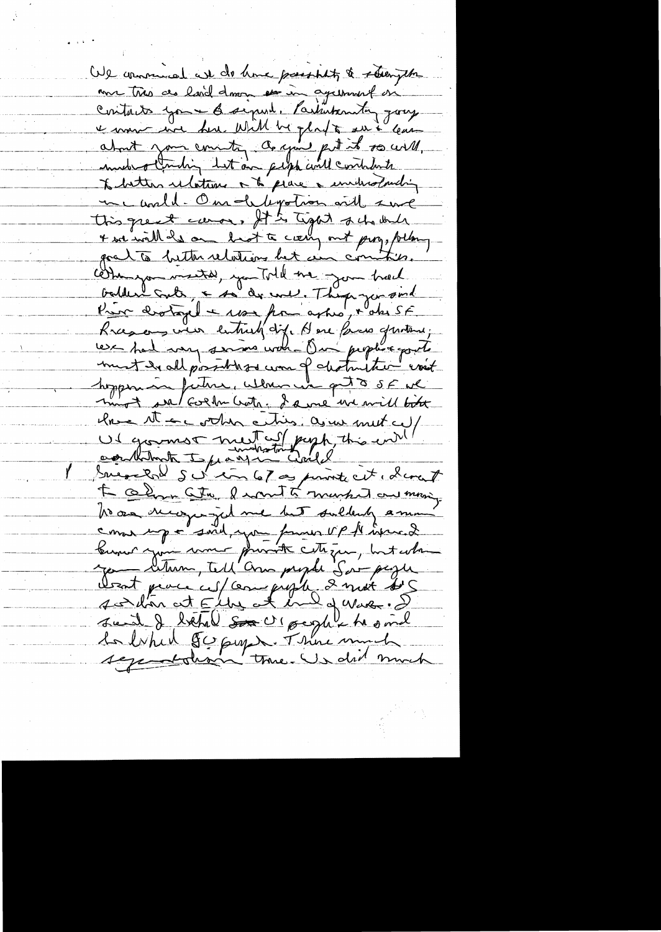We communed we do have passibility & strength me très de besid dans en in againsist en contacts you - 6 signal, Partinternty going e mois avec deu Will be glat au à com Debitter relations à la prince à invitandant me world. One depotion will sure this great cause, It is tight schola + we will de on hast to ciany out prog, following goat to better relations bet in commities. comme montal, you Told me jour track, balder cato, a so de ene. They you sind Rrason vier entre et dif. Dere faces gratene; ment de all possibles com of destruiter event mot se colla Cath enter de me un mill bite lave tt accorder entire, as us met cut Ul grounds mutal papp, this end Suisselon S d'in 67 en point cit, dans 7 L Olyn Str, I wont to market on monig to an newyorged me hat sultently a ma come up a soit you former vp 14 increde busser rue mont private cette que prophe Dent pouce ces/compressés & mot ses<br>said de béhal son c'époque de voir. De son de l'établise de voir de voir